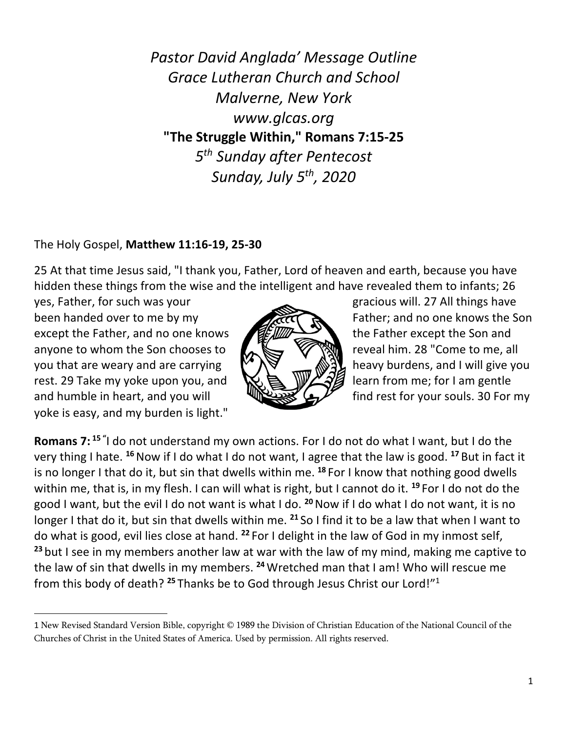*Pastor David Anglada' Message Outline Grace Lutheran Church and School Malverne, New York www.glcas.org* **"The Struggle Within," Romans 7:15-25** *5th Sunday after Pentecost Sunday, July 5th, 2020* 

## The Holy Gospel, **Matthew 11:16-19, 25-30**

25 At that time Jesus said, "I thank you, Father, Lord of heaven and earth, because you have hidden these things from the wise and the intelligent and have revealed them to infants; 26

yes, Father, for such was your gracious will. 27 All things have been handed over to me by my Father; and no one knows the Son except the Father, and no one knows **the Father except the Son and** anyone to whom the Son chooses to  $\mathbb{R} \setminus \mathbb{R}$   $\mathbb{R}$  reveal him. 28 "Come to me, all you that are weary and are carrying  $\mathbb{N} \setminus \mathbb{N}$  heavy burdens, and I will give you rest. 29 Take my yoke upon you, and  $\mathbb{R} \oplus \mathbb{R}$   $\mathbb{W}$   $\mathbb{Z}$  and learn from me; for I am gentle and humble in heart, and you will  $\mathbb{R}$  find rest for your souls. 30 For my yoke is easy, and my burden is light."



**Romans 7: <sup>15</sup> "** I do not understand my own actions. For I do not do what I want, but I do the very thing I hate. **<sup>16</sup>**Now if I do what I do not want, I agree that the law is good. **<sup>17</sup>** But in fact it is no longer I that do it, but sin that dwells within me. **<sup>18</sup>** For I know that nothing good dwells within me, that is, in my flesh. I can will what is right, but I cannot do it. **<sup>19</sup>** For I do not do the good I want, but the evil I do not want is what I do. **<sup>20</sup>**Now if I do what I do not want, it is no longer I that do it, but sin that dwells within me. **<sup>21</sup>** So I find it to be a law that when I want to do what is good, evil lies close at hand. **<sup>22</sup>** For I delight in the law of God in my inmost self, **<sup>23</sup>** but I see in my members another law at war with the law of my mind, making me captive to the law of sin that dwells in my members. **<sup>24</sup>**Wretched man that I am! Who will rescue me from this body of death? **<sup>25</sup>** Thanks be to God through Jesus Christ our Lord!"1

<sup>1</sup> New Revised Standard Version Bible, copyright © 1989 the Division of Christian Education of the National Council of the Churches of Christ in the United States of America. Used by permission. All rights reserved.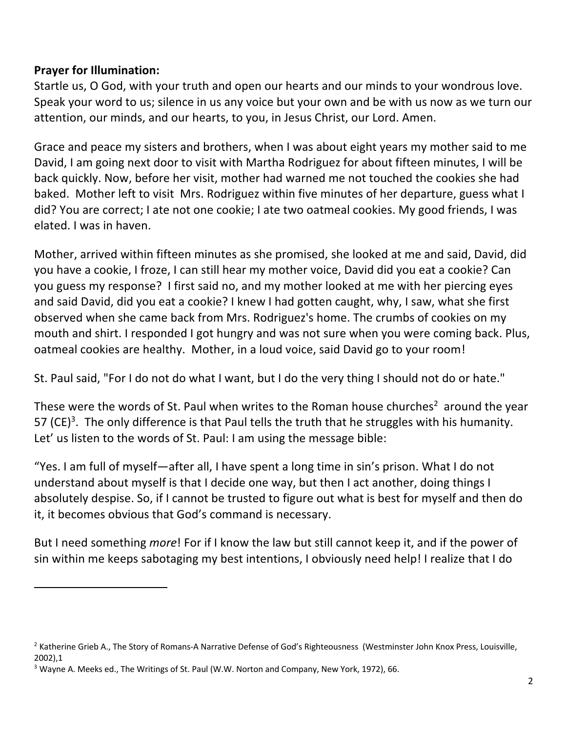## **Prayer for Illumination:**

Startle us, O God, with your truth and open our hearts and our minds to your wondrous love. Speak your word to us; silence in us any voice but your own and be with us now as we turn our attention, our minds, and our hearts, to you, in Jesus Christ, our Lord. Amen.

Grace and peace my sisters and brothers, when I was about eight years my mother said to me David, I am going next door to visit with Martha Rodriguez for about fifteen minutes, I will be back quickly. Now, before her visit, mother had warned me not touched the cookies she had baked. Mother left to visit Mrs. Rodriguez within five minutes of her departure, guess what I did? You are correct; I ate not one cookie; I ate two oatmeal cookies. My good friends, I was elated. I was in haven.

Mother, arrived within fifteen minutes as she promised, she looked at me and said, David, did you have a cookie, I froze, I can still hear my mother voice, David did you eat a cookie? Can you guess my response? I first said no, and my mother looked at me with her piercing eyes and said David, did you eat a cookie? I knew I had gotten caught, why, I saw, what she first observed when she came back from Mrs. Rodriguez's home. The crumbs of cookies on my mouth and shirt. I responded I got hungry and was not sure when you were coming back. Plus, oatmeal cookies are healthy. Mother, in a loud voice, said David go to your room!

St. Paul said, "For I do not do what I want, but I do the very thing I should not do or hate."

These were the words of St. Paul when writes to the Roman house churches<sup>2</sup> around the year 57 (CE)<sup>3</sup>. The only difference is that Paul tells the truth that he struggles with his humanity. Let' us listen to the words of St. Paul: I am using the message bible:

"Yes. I am full of myself—after all, I have spent a long time in sin's prison. What I do not understand about myself is that I decide one way, but then I act another, doing things I absolutely despise. So, if I cannot be trusted to figure out what is best for myself and then do it, it becomes obvious that God's command is necessary.

But I need something *more*! For if I know the law but still cannot keep it, and if the power of sin within me keeps sabotaging my best intentions, I obviously need help! I realize that I do

<sup>&</sup>lt;sup>2</sup> Katherine Grieb A., The Story of Romans-A Narrative Defense of God's Righteousness (Westminster John Knox Press, Louisville, 2002),1

 $3$  Wayne A. Meeks ed., The Writings of St. Paul (W.W. Norton and Company, New York, 1972), 66.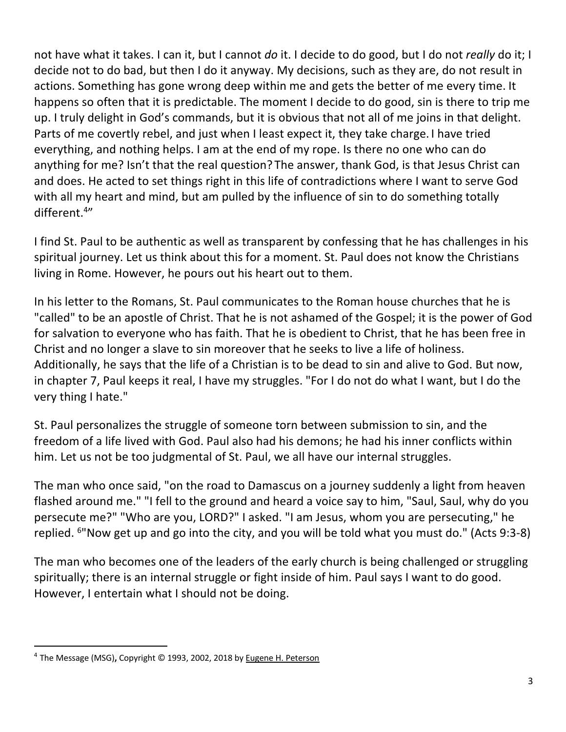not have what it takes. I can it, but I cannot *do* it. I decide to do good, but I do not *really* do it; I decide not to do bad, but then I do it anyway. My decisions, such as they are, do not result in actions. Something has gone wrong deep within me and gets the better of me every time. It happens so often that it is predictable. The moment I decide to do good, sin is there to trip me up. I truly delight in God's commands, but it is obvious that not all of me joins in that delight. Parts of me covertly rebel, and just when I least expect it, they take charge. I have tried everything, and nothing helps. I am at the end of my rope. Is there no one who can do anything for me? Isn't that the real question? The answer, thank God, is that Jesus Christ can and does. He acted to set things right in this life of contradictions where I want to serve God with all my heart and mind, but am pulled by the influence of sin to do something totally different.<sup>4"</sup>

I find St. Paul to be authentic as well as transparent by confessing that he has challenges in his spiritual journey. Let us think about this for a moment. St. Paul does not know the Christians living in Rome. However, he pours out his heart out to them.

In his letter to the Romans, St. Paul communicates to the Roman house churches that he is "called" to be an apostle of Christ. That he is not ashamed of the Gospel; it is the power of God for salvation to everyone who has faith. That he is obedient to Christ, that he has been free in Christ and no longer a slave to sin moreover that he seeks to live a life of holiness. Additionally, he says that the life of a Christian is to be dead to sin and alive to God. But now, in chapter 7, Paul keeps it real, I have my struggles. "For I do not do what I want, but I do the very thing I hate."

St. Paul personalizes the struggle of someone torn between submission to sin, and the freedom of a life lived with God. Paul also had his demons; he had his inner conflicts within him. Let us not be too judgmental of St. Paul, we all have our internal struggles.

The man who once said, "on the road to Damascus on a journey suddenly a light from heaven flashed around me." "I fell to the ground and heard a voice say to him, "Saul, Saul, why do you persecute me?" "Who are you, LORD?" I asked. "I am Jesus, whom you are persecuting," he replied. 6"Now get up and go into the city, and you will be told what you must do." (Acts 9:3-8)

The man who becomes one of the leaders of the early church is being challenged or struggling spiritually; there is an internal struggle or fight inside of him. Paul says I want to do good. However, I entertain what I should not be doing.

<sup>4</sup> The Message (MSG)**,** Copyright © 1993, 2002, 2018 by Eugene H. Peterson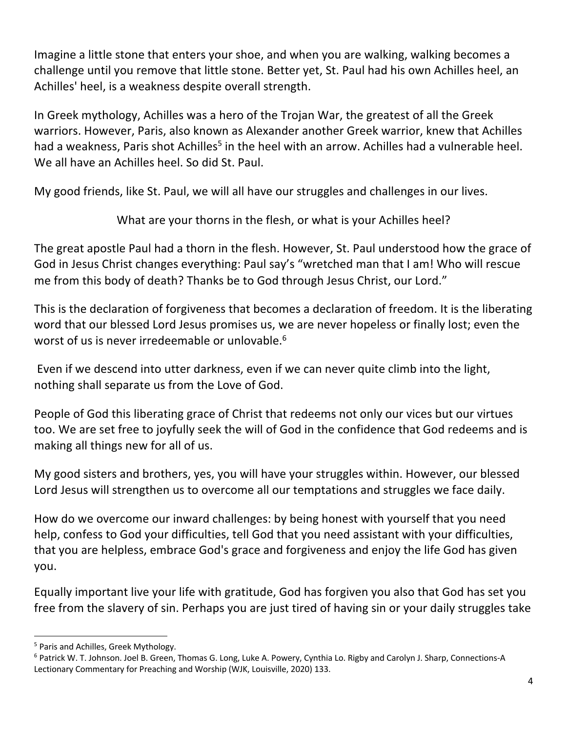Imagine a little stone that enters your shoe, and when you are walking, walking becomes a challenge until you remove that little stone. Better yet, St. Paul had his own Achilles heel, an Achilles' heel, is a weakness despite overall strength.

In Greek mythology, Achilles was a hero of the Trojan War, the greatest of all the Greek warriors. However, Paris, also known as Alexander another Greek warrior, knew that Achilles had a weakness, Paris shot Achilles<sup>5</sup> in the heel with an arrow. Achilles had a vulnerable heel. We all have an Achilles heel. So did St. Paul.

My good friends, like St. Paul, we will all have our struggles and challenges in our lives.

What are your thorns in the flesh, or what is your Achilles heel?

The great apostle Paul had a thorn in the flesh. However, St. Paul understood how the grace of God in Jesus Christ changes everything: Paul say's "wretched man that I am! Who will rescue me from this body of death? Thanks be to God through Jesus Christ, our Lord."

This is the declaration of forgiveness that becomes a declaration of freedom. It is the liberating word that our blessed Lord Jesus promises us, we are never hopeless or finally lost; even the worst of us is never irredeemable or unlovable.<sup>6</sup>

Even if we descend into utter darkness, even if we can never quite climb into the light, nothing shall separate us from the Love of God.

People of God this liberating grace of Christ that redeems not only our vices but our virtues too. We are set free to joyfully seek the will of God in the confidence that God redeems and is making all things new for all of us.

My good sisters and brothers, yes, you will have your struggles within. However, our blessed Lord Jesus will strengthen us to overcome all our temptations and struggles we face daily.

How do we overcome our inward challenges: by being honest with yourself that you need help, confess to God your difficulties, tell God that you need assistant with your difficulties, that you are helpless, embrace God's grace and forgiveness and enjoy the life God has given you.

Equally important live your life with gratitude, God has forgiven you also that God has set you free from the slavery of sin. Perhaps you are just tired of having sin or your daily struggles take

<sup>&</sup>lt;sup>5</sup> Paris and Achilles, Greek Mythology.<br><sup>6</sup> Patrick W. T. Johnson. Joel B. Green, Thomas G. Long, Luke A. Powery, Cynthia Lo. Rigby and Carolyn J. Sharp, Connections-A Lectionary Commentary for Preaching and Worship (WJK, Louisville, 2020) 133.